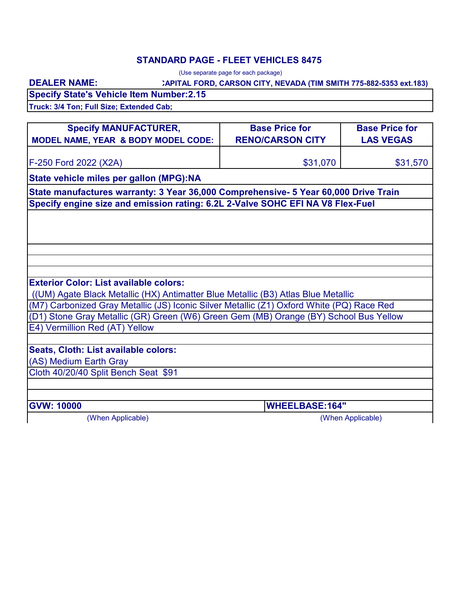### **STANDARD PAGE - FLEET VEHICLES 8475**

(Use separate page for each package)

### **CAPITAL FORD, CARSON CITY, NEVADA (TIM SMITH 775-882-5353 ext.183)**

**Specify State's Vehicle Item Number:2.15 Truck: 3/4 Ton; Full Size; Extended Cab;**

**DEALER NAME:**

| <b>Specify MANUFACTURER,</b><br><b>MODEL NAME, YEAR &amp; BODY MODEL CODE:</b>            | <b>Base Price for</b><br><b>RENO/CARSON CITY</b> | <b>Base Price for</b><br><b>LAS VEGAS</b> |
|-------------------------------------------------------------------------------------------|--------------------------------------------------|-------------------------------------------|
|                                                                                           |                                                  |                                           |
| F-250 Ford 2022 (X2A)                                                                     | \$31,070                                         | \$31,570                                  |
| State vehicle miles per gallon (MPG):NA                                                   |                                                  |                                           |
| State manufactures warranty: 3 Year 36,000 Comprehensive- 5 Year 60,000 Drive Train       |                                                  |                                           |
| Specify engine size and emission rating: 6.2L 2-Valve SOHC EFI NA V8 Flex-Fuel            |                                                  |                                           |
|                                                                                           |                                                  |                                           |
|                                                                                           |                                                  |                                           |
|                                                                                           |                                                  |                                           |
|                                                                                           |                                                  |                                           |
| <b>Exterior Color: List available colors:</b>                                             |                                                  |                                           |
| ((UM) Agate Black Metallic (HX) Antimatter Blue Metallic (B3) Atlas Blue Metallic         |                                                  |                                           |
| (M7) Carbonized Gray Metallic (JS) Iconic Silver Metallic (Z1) Oxford White (PQ) Race Red |                                                  |                                           |
| (D1) Stone Gray Metallic (GR) Green (W6) Green Gem (MB) Orange (BY) School Bus Yellow     |                                                  |                                           |
| E4) Vermillion Red (AT) Yellow                                                            |                                                  |                                           |
|                                                                                           |                                                  |                                           |
| Seats, Cloth: List available colors:                                                      |                                                  |                                           |
| (AS) Medium Earth Gray                                                                    |                                                  |                                           |
| Cloth 40/20/40 Split Bench Seat \$91                                                      |                                                  |                                           |
|                                                                                           |                                                  |                                           |
|                                                                                           |                                                  |                                           |
| <b>GVW: 10000</b>                                                                         | <b>WHEELBASE:164"</b>                            |                                           |
| (When Applicable)                                                                         |                                                  | (When Applicable)                         |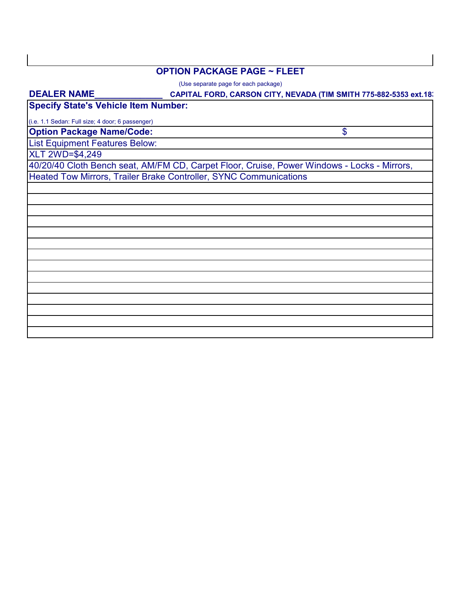#### **OPTION PACKAGE PAGE ~ FLEET**

(Use separate page for each package)

# **CAPITAL FORD, CARSON CITY, NEVADA (TIM SMITH 775-882-5353 ext.183 Option Package Name/Code:** List Equipment Features Below: **Specify State's Vehicle Item Number:** \$ (i.e. 1.1 Sedan: Full size; 4 door; 6 passenger) **DEALER NAME\_\_\_\_\_\_\_\_\_\_\_\_\_\_** 40/20/40 Cloth Bench seat, AM/FM CD, Carpet Floor, Cruise, Power Windows - Locks - Mirrors, Heated Tow Mirrors, Trailer Brake Controller, SYNC Communications XLT 2WD=\$4,249